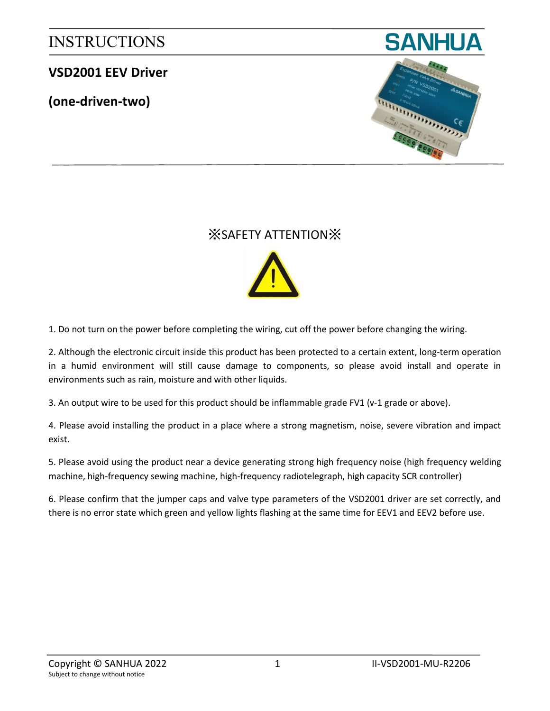### **VSD2001 EEV Driver**

**(one-driven-two)**





## ※SAFETY ATTENTION※



1. Do not turn on the power before completing the wiring, cut off the power before changing the wiring.

2. Although the electronic circuit inside this product has been protected to a certain extent, long-term operation in a humid environment will still cause damage to components, so please avoid install and operate in environments such as rain, moisture and with other liquids.

3. An output wire to be used for this product should be inflammable grade FV1 (v-1 grade or above).

4. Please avoid installing the product in a place where a strong magnetism, noise, severe vibration and impact exist.

5. Please avoid using the product near a device generating strong high frequency noise (high frequency welding machine, high-frequency sewing machine, high-frequency radiotelegraph, high capacity SCR controller)

6. Please confirm that the jumper caps and valve type parameters of the VSD2001 driver are set correctly, and there is no error state which green and yellow lights flashing at the same time for EEV1 and EEV2 before use.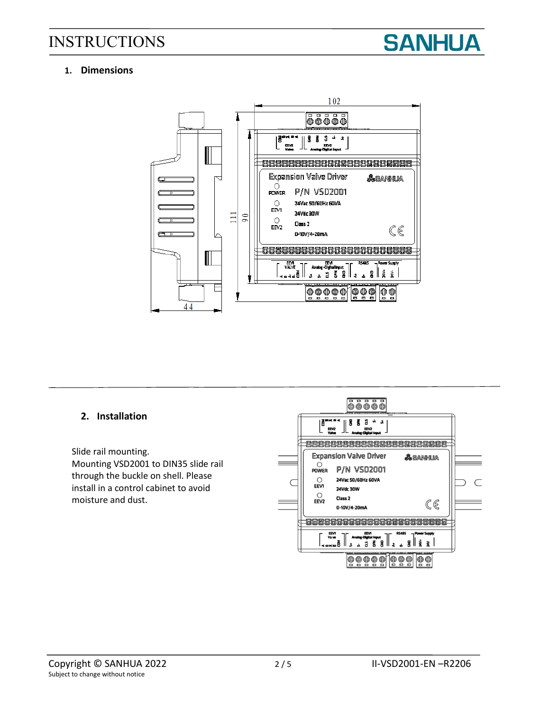

### **1. Dimensions**



### **2. Installation**

Slide rail mounting. Mounting VSD2001 to DIN35 slide rail through the buckle on shell. Please install in a control cabinet to avoid moisture and dust.

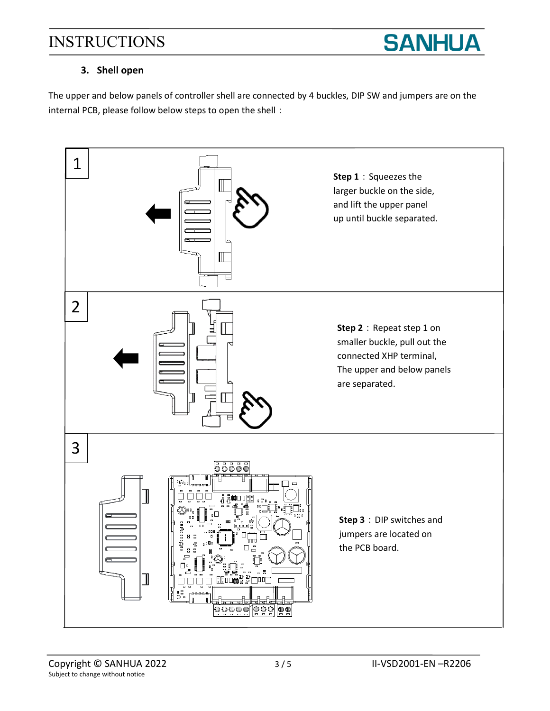

### **3. Shell open**

The upper and below panels of controller shell are connected by 4 buckles, DIP SW and jumpers are on the internal PCB, please follow below steps to open the shell:

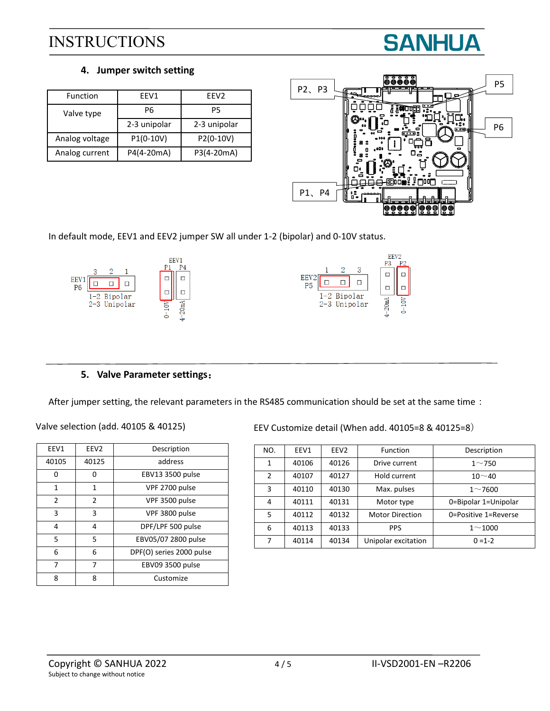

#### **4. Jumper switch setting**

| Function       | FFV1         | FFV <sub>2</sub> |  |
|----------------|--------------|------------------|--|
| Valve type     | Р6           | P5               |  |
|                | 2-3 unipolar | 2-3 unipolar     |  |
| Analog voltage | $P1(0-10V)$  | P2(0-10V)        |  |
| Analog current | P4(4-20mA)   | P3(4-20mA)       |  |



In default mode, EEV1 and EEV2 jumper SW all under 1-2 (bipolar) and 0-10V status.



### **5. Valve Parameter settings**:

After jumper setting, the relevant parameters in the RS485 communication should be set at the same time:

| Valve selection (add. 40105 & 40125) |  |  |  |  |  |
|--------------------------------------|--|--|--|--|--|
|--------------------------------------|--|--|--|--|--|

| EEV1  | EEV <sub>2</sub> | Description              |  |
|-------|------------------|--------------------------|--|
| 40105 | 40125            | address                  |  |
| o     | o                | EBV13 3500 pulse         |  |
| 1     | 1                | VPF 2700 pulse           |  |
| 2     | $\mathfrak{p}$   | VPF 3500 pulse           |  |
| 3     | 3                | VPF 3800 pulse           |  |
| 4     | 4                | DPF/LPF 500 pulse        |  |
| 5     | 5                | EBV05/07 2800 pulse      |  |
| 6     | 6                | DPF(O) series 2000 pulse |  |
| 7     | 7                | EBV09 3500 pulse         |  |
| 8     | 8                | Customize                |  |

EEV Customize detail (When add. 40105=8 & 40125=8)

| NO.           | EEV1  | EEV <sub>2</sub> | <b>Function</b>        | Description          |
|---------------|-------|------------------|------------------------|----------------------|
| 1             | 40106 | 40126            | Drive current          | $1 - 750$            |
| $\mathcal{P}$ | 40107 | 40127            | Hold current           | $10 - 40$            |
| 3             | 40110 | 40130            | Max. pulses            | $1 - 7600$           |
| 4             | 40111 | 40131            | Motor type             | 0=Bipolar 1=Unipolar |
| 5.            | 40112 | 40132            | <b>Motor Direction</b> | 0=Positive 1=Reverse |
| 6             | 40113 | 40133            | <b>PPS</b>             | $1 - 1000$           |
| 7             | 40114 | 40134            | Unipolar excitation    | $0 = 1 - 2$          |